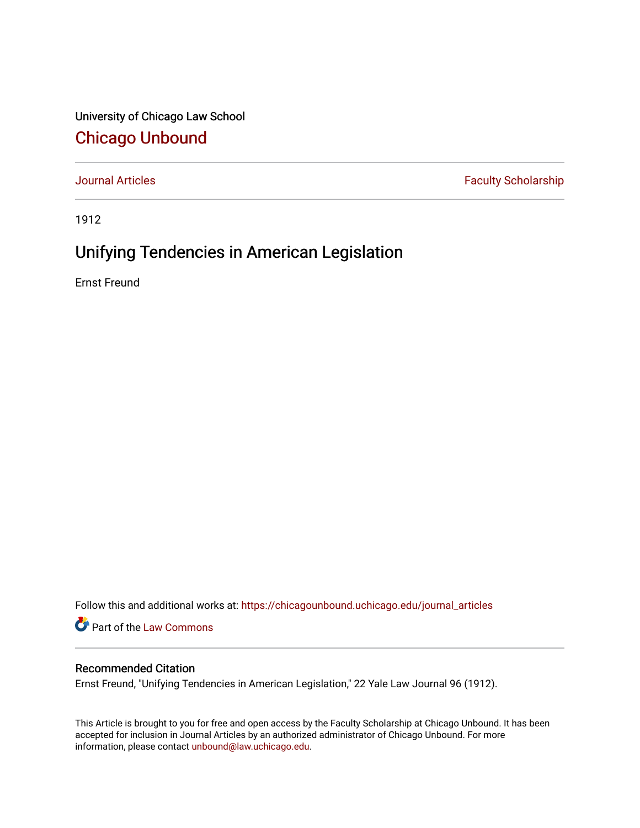University of Chicago Law School [Chicago Unbound](https://chicagounbound.uchicago.edu/)

[Journal Articles](https://chicagounbound.uchicago.edu/journal_articles) **Faculty Scholarship Faculty Scholarship** 

1912

## Unifying Tendencies in American Legislation

Ernst Freund

Follow this and additional works at: [https://chicagounbound.uchicago.edu/journal\\_articles](https://chicagounbound.uchicago.edu/journal_articles?utm_source=chicagounbound.uchicago.edu%2Fjournal_articles%2F7854&utm_medium=PDF&utm_campaign=PDFCoverPages) 

Part of the [Law Commons](http://network.bepress.com/hgg/discipline/578?utm_source=chicagounbound.uchicago.edu%2Fjournal_articles%2F7854&utm_medium=PDF&utm_campaign=PDFCoverPages)

## Recommended Citation

Ernst Freund, "Unifying Tendencies in American Legislation," 22 Yale Law Journal 96 (1912).

This Article is brought to you for free and open access by the Faculty Scholarship at Chicago Unbound. It has been accepted for inclusion in Journal Articles by an authorized administrator of Chicago Unbound. For more information, please contact [unbound@law.uchicago.edu](mailto:unbound@law.uchicago.edu).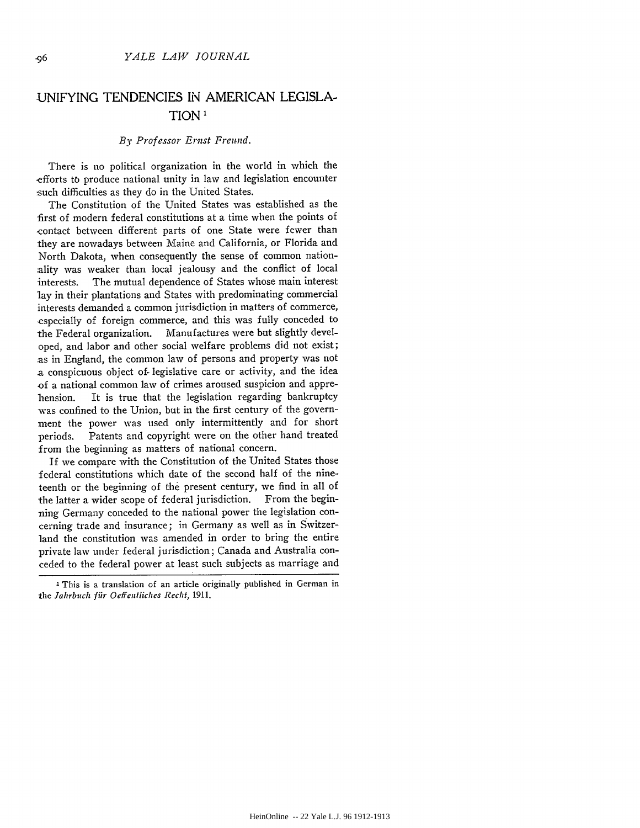## **UNIFYING TENDENCIES IN AMERICAN** LEGISLA-**TION<sup>1</sup>**

## *By Professor Ernst Freund.*

There is no political organization in the world in which the -efforts tb produce national unity in law and legislation encounter -such difficulties as they do in the United States.

The Constitution of the United States was established as the first of modern federal constitutions at a time when the points of -contact between different parts of one State were fewer than they are nowadays between Maine and California, or Florida and North Dakota, when consequently the sense of common nationality was weaker than local jealousy and the conflict of local interests. The mutual dependence of States whose main interest lay in their plantations and States with predominating commercial interests demanded a common jurisdiction in matters of commerce, ,especially of foreign commerce, and this was fully conceded to the Federal organization. Manufactures were but slightly developed, and labor and other social welfare problems did not exist; as in England, the common law of persons and property was not a conspicuous object of- legislative care or activity, and the idea of a national common law of crimes aroused suspicion and apprehension. It is true that the legislation regarding bankruptcy was confined to the Union, but in the first century of the government the power was used only intermittently and for short periods. Patents and copyright were on the other hand treated from the beginning as matters of national concern.

If we compare with the Constitution of the United States those federal constitutions which date of the second half of the nineteenth or the beginning of the present century, we find in all of the latter a wider scope of federal jurisdiction. From the beginning Germany conceded to the national power the legislation concerning trade and insurance; in Germany as well as in Switzerland the constitution was amended in order to bring the entire private law under federal jurisdiction; Canada and Australia conceded to the federal power at least such subjects as marriage and

**I** This is a translation of an article originally published in German in the *Jahrbuch ffir Oeffentliches Recht,* 1911.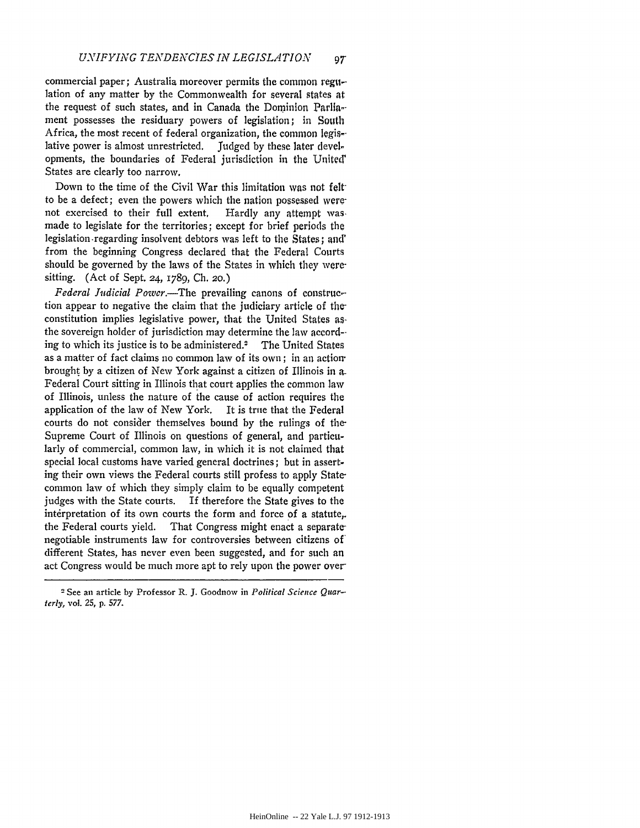commercial paper; Australia moreover permits the common regu- lation of any matter by the Commonwealth for several states at the request of such states, and in Canada the Dominion Parliament possesses the residuary powers of legislation; in South Africa, the most recent of federal organization, the common legislative power is almost unrestricted. Judged by these later developments, the boundaries of Federal jurisdiction in the United' States are clearly too narrow.

Down to the time of the Civil War this limitation was not felt to be a defect; even the powers which the nation possessed werenot exercised to their full extent, Hardly any attempt was. made to legislate for the territories; except for brief periods the legislation regarding insolvent debtors was left to the States; and from the beginning Congress declared that the Federal Courts should be governed by the laws of the States in which they weresitting. (Act of Sept. 24, 1789, Ch. 20.)

*Federal Judicial Power.-The* prevailing canons of construetion appear to negative the claim that the judiciary article of theconstitution implies legislative power, that the United States asthe sovereign holder of jurisdiction may determine the law accord- ing to which its justice is to be administered.<sup>2</sup> The United States as a matter of fact claims no common law of its own; in an action' brought by a citizen of New York against a citizen of Illinois in a-Federal Court sitting in Illinois that court applies the common law of Illinois, unless the nature of the cause of action requires the application of the law of New York. It is true that the Federal courts do not consider themselves bound by the rulings of the-Supreme Court of Illinois on questions of general, and particularly of commercial, common law, in which it is not claimed that special local customs have varied general doctrines; but in asserting their own views the Federal courts still profess to apply Statecommon law of which they simply claim to be equally competent judges with the State courts. If therefore the State gives to the interpretation of its own courts the form and force of a statute,. the Federal courts yield. That Congress might enact a separatenegotiable instruments law for controversies between citizens of different States, has never even been suggested, and for such an act Congress would be much more apt to rely upon the power over-

<sup>2</sup> See **an** article **by** Professor R. J. Goodnow in *Political Science Quarterly,* **vol. 25, p.** *577.*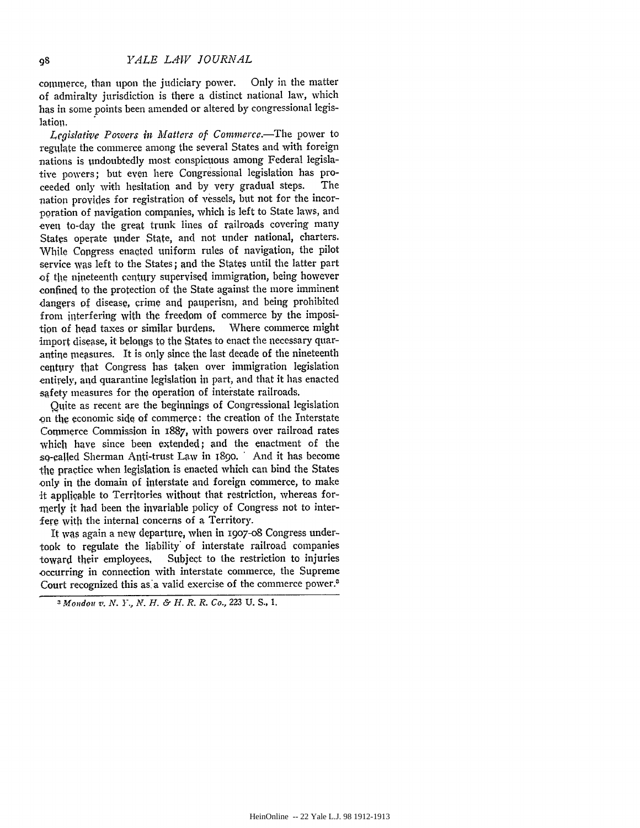comnmerce, than upon the judiciary power. Only in the matter of admiralty jurisdiction is there a distinct national law, which has in some points been amended or altered by congressional legislation.

*Legislative Powers in Matters of* Commerce.-The power to regulate the commerce among the several States and with foreign nations is undoubtedly most conspicuous among Federal legislative powers; but even here Congressional legislation has pro-<br>ceeded only with hesitation and by very gradual steps. The ceeded only with hesitation and by very gradual steps. nation provides for registration of vessels, but not for the incorporation of navigation companies, which is left to State laws, and even to-day the great trunk lines of railroads covering many States operate under State, and not under national, charters. While Congress enacted uniform rules of navigation, the pilot service was left to the States; and the States until the latter part of the nineteenth century supervised immigration, being however confined to the protection of the State against the more imminent dangers of disease, crime and pauperism, and being prohibited from interfering with the freedom of commerce **by** the imposition of head taxes or similar burdens, import disease, it belongs to the States to enact the necessary quarantire measures. It is only since the last decade of the nineteenth century that Congress has taken over immigration legislation entirely, and quarantine legislation in part, and that it has enacted safety measures for the operation of interstate railroads.

Quite as recent are the beginnings of Congressional legislation on the economic side of commerce: the creation of the Interstate Commerce Commission in 1887, with powers over railroad rates which have since been extended; and the enactment of the so-called Sherman Anti-trust Law in 1890. And it has become the practice when legislation is enacted which can bind the States only **in** the domain of interstate and foreign commerce, to make It applicable to Territories without that restriction, whereas formerly it had been the invariable policy of Congress not to interfere with the internal concerns of a Territory.

It was again a new departure, when in 19o7-o8 Congress undertook to regulate the liability' of interstate railroad companies toward their employees, Subject to the restriction to injuries occurring in connection with interstate commerce, the Supreme Court recognized this as a valid exercise of the commerce power.<sup>3</sup>

*3 Mondou v. N. Y., N. H. & H. R. R. Co., 223* U. S., **1.**

 $98$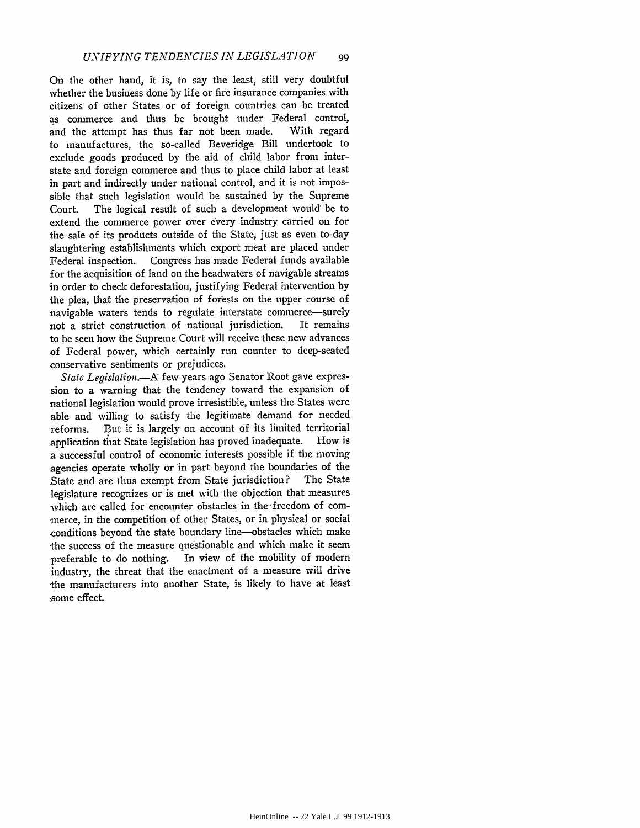On the other hand, it is, to say the least, still very doubtful whether the business done by life or fire insurance companies with citizens of other States or of foreign countries can be treated as commerce and thus be brought under Federal control, and the attempt has thus far not been made. With regard to manufactures, the so-called Beveridge Bill undertook to exclude goods produced by the aid of child labor from interstate and foreign commerce and thus to place child labor at least in part and indirectly under national control, and it is not impossible that such legislation would be sustained by the Supreme Court. The logical result of such a development would" be to extend the commerce power over every industry carried on for the sale of its products outside of the State, just as even to-day slaughtering establishments which export meat are placed under<br>Federal inspection. Congress has made Federal funds available Congress has made Federal funds available for the acquisition of land on the headwaters of navigable streams in order to check deforestation, justifying Federal intervention by the plea, that the preservation of forests on the upper course of navigable waters tends to regulate interstate commerce—surely<br>not a strict construction of national iurisdiction. It remains not a strict construction of national jurisdiction. to be seen how the Supreme Court will receive these new advances of Federal power, which certainly run counter to deep-seated conservative sentiments or prejudices.

*State Legislation.-A* few years ago Senator Root gave expression to a warning that the tendency toward the expansion of national legislation would prove irresistible, unless the States were able and willing to satisfy the legitimate demand for needed reforms. But it is largely on account of its limited territorial application that State legislation has proved inadequate. a successful control of economic interests possible if the moving agencies operate wholly or in part beyond the boundaries of the .State and are thus exempt from State jurisdiction? The State legislature recognizes or is met with the objection that measures ,which are called for encounter obstacles in the freedom of commerce, in the competition of other States, or in physical or social -conditions beyond the state boundary line-obstacles which make the success of the measure questionable and which make it seem -preferable to do nothing. In view of the mobility of modern industry, the threat that the enactment of a measure will drive -the manufacturers into another State, is likely to have at least :some effect.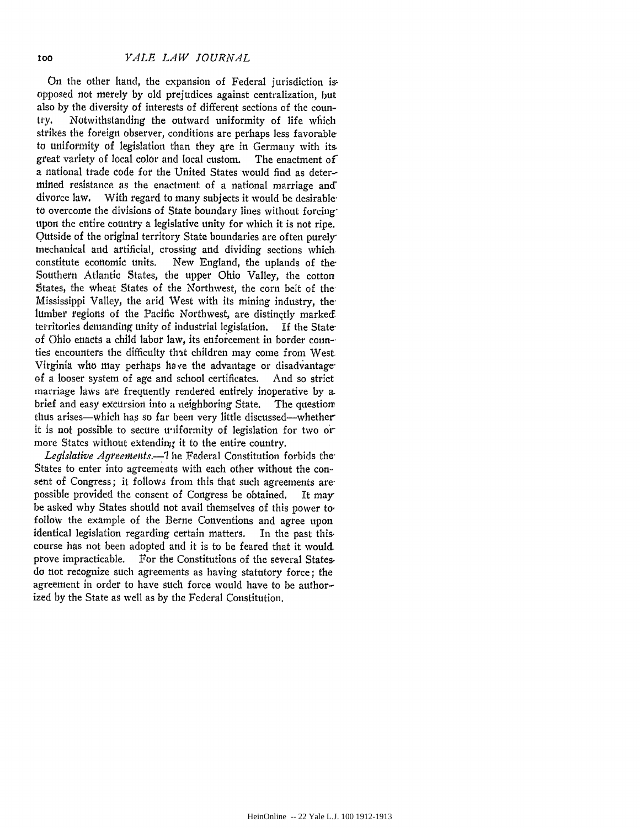On the other hand, the expansion of Federal jurisdiction is opposed not merely by old prejudices against centralization, but also by the diversity of interests of different sections of the country. Notwithstanding the outward uniformity of life which strikes the foreign observer, conditions are perhaps less favorable to uniformity of legislation than they are in Germany with itsgreat variety of local color and local custom. The enactment of' a national trade code for the United States would find as determined resistance as the enactment of a national marriage and' divorce law. With regard to many subjects it would be desirableto overcome the divisions of State boundary lines without forcingupon the entire country a legislative unity for which it is not ripe. Outside of the original territory State boundaries are often purely mechanical and artificial, crossing and dividing sections which. constitute economic units. New England, the uplands of the-Southern Atlantic States, the upper Ohio Valley, the cotton States, the wheat States of the Northwest, the corn belt of the-Mississippi Valley, the arid West with its mining industry, the lumber regions of the Pacific Northwest, are distinctly marked territories demanding unity of industrial legislation. If the Stateof Ohio enacts a child labor law, its enforcement in border coun- ties encounters the difficulty that children may come from West. Virginia who may perhaps ha ve the advantage or disadvantage, of a looser system of age and school certificates. And so strict marriage laws are frequently rendered entirely inoperative by a. brief and easy excursion into a neighboring State. The question thus arises-which has so far been very little discussed-whether it is not possible to secure u-iiformity of legislation for two oir more States without extending it to the entire country.

Legislative Agreements.-- 7 he Federal Constitution forbids the States to enter into agreements with each other without the consent of Congress; it follows from this that such agreements are possible provided the consent of Congress be obtained. It may be asked why States should not avail themselves of this power tofollow the example of the Berne Conventions and agree upon identical legislation regarding certain matters. In the past this. course has not been adopted and it is to be feared that it would, prove impracticable. For the Constitutions of the several States. do not recognize such agreements as having statutory force; the agreement in order to have such force would have to be authorized by the State as well as by the Federal Constitution.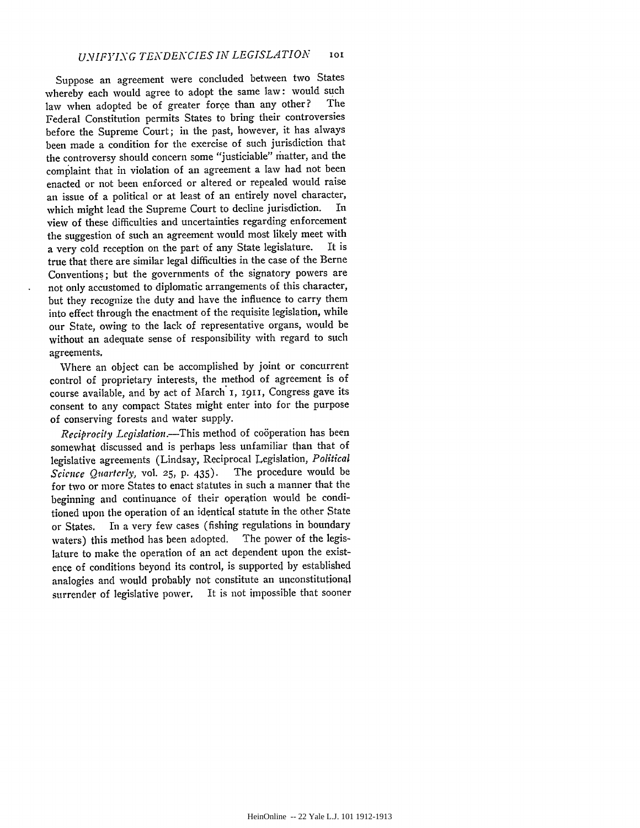Suppose an agreement were concluded between two States whereby each would agree to adopt the same law: would such<br>law when adopted be of greater force than any other? The law when adopted be of greater force than any other? Federal Constitution permits States to bring their controversies before the Supreme Court; in the past, however, it has always been made a condition for the exercise of such jurisdiction that the controversy should concern some "justiciable" matter, and the complaint that in violation of an agreement a law had not been enacted or not been enforced or altered or repealed would raise an issue of a political or at least of an entirely novel character,<br>which might lead the Supreme Court to decline iurisdiction. In which might lead the Supreme Court to decline jurisdiction. view of these difficulties and uncertainties regarding enforcement the suggestion of such an agreement would most likely meet with<br>a very cold reception on the part of any State legislature. It is a very cold reception on the part of any State legislature. true that there are similar legal difficulties in the case of the Berne Conventions; but the governments of the signatory powers are not only accustomed to diplomatic arrangements of this character, but they recognize the duty and have the influence to carry them into effect through the enactment of the requisite legislation, while our State, owing to the lack of representative organs, would be without an adequate sense of responsibility with regard to such agreements.

Where an object can be accomplished by joint or concurrent control of proprietary interests, the method of agreement is of course available, and by act of March 1, 1911, Congress gave its consent to any compact States might enter into for the purpose of conserving forests and water supply.

*Reciprocity Legislation.*--This method of coöperation has been somewhat discussed and is perhaps less unfamiliar than that of legislative agreements (Lindsay, Reciprocal Legislation, *Political Science Quarterly, vol. 25, p. 435).* for two or more States to enact statutes in such a manner that the beginning and continuance of their operation would be conditioned upon the operation of an identical statute in the other State or States. In a very few cases (fishing regulations in boundary waters) this method has been adopted. The power of the legislature to make the operation of an act dependent upon the existence of conditions beyond its control, is supported **by** established analogies and would probably not constitute an unconstitutional surrender of legislative power. It is not impossible that sooner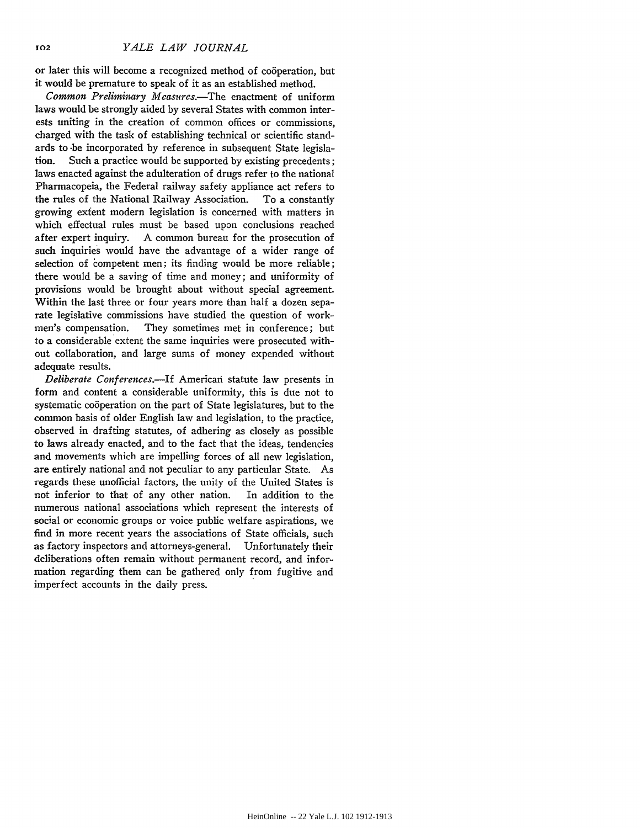or later this will become a recognized method of coöperation, but it would be premature to speak of it as an established method.

*Common Preliminary Measures.-The* enactment of uniform laws would be strongly aided by several States with common interests uniting in the creation of common offices or commissions, charged with the task of establishing technical or scientific standards to -be incorporated by reference in subsequent State legislation. Such a practice would be supported by existing precedents; laws enacted against the adulteration of drugs refer to the national Pharmacopeia, the Federal railway safety appliance act refers to the rules of the National Railway Association. To a constantly growing extent modern legislation is concerned with matters in which effectual rules must be based upon conclusions reached after expert inquiry. A common bureau for the prosecution of such inquiries would have the advantage of a wider range of selection of competent men; its finding would be more reliable; there would be a saving of time and money; and uniformity of provisions would be brought about without special agreement. Within the last three or four years more than half a dozen separate legislative commissions have studied the question of workmen's compensation. They sometimes met in conference; but to a considerable extent the same inquiries were prosecuted without collaboration, and large sums of money expended without adequate results.

*Deliberate Conferences.*--If American statute law presents in form and content a considerable uniformity, this is due not to systematic coöperation on the part of State legislatures, but to the common basis of older English law and legislation, to the practice, observed in drafting statutes, of adhering as closely as possible to laws already enacted, and to the fact that the ideas, tendencies and movements which are impelling forces of all new legislation, are entirely national and not peculiar to any particular State. As regards these unofficial factors, the unity of the United States is not inferior to that of any other nation. In addition to the numerous national associations which represent the interests of social or economic groups or voice public welfare aspirations, we find in more recent years the associations of State officials, such as factory inspectors and attorneys-general. Unfortunately their deliberations often remain without permanent record, and information regarding them can be gathered only from fugitive and imperfect accounts in the daily press.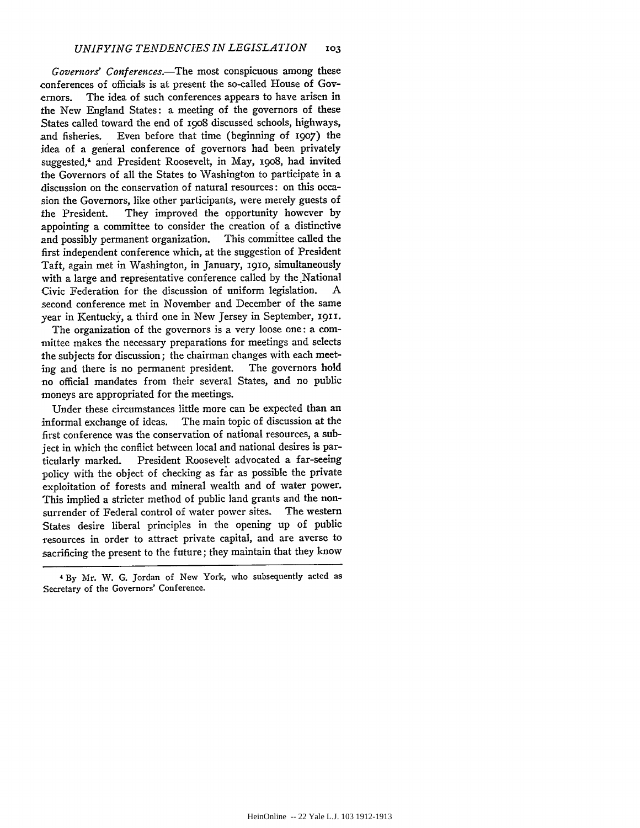*Governors' Conferences.-The* most conspicuous among these conferences of officials is at present the so-called House of Governors. The idea of such conferences appears to have arisen in the New England States: a meeting of the governors of these States called toward the end of 19o8 discussed schools, highways, and fisheries. Even before that time (beginning of **19o7)** the idea of a general conference of governors had been privately suggested,<sup>4</sup> and President Roosevelt, in May, 1908, had invited the Governors of all the States to Washington to participate in a discussion on the conservation of natural resources: on this occasion the Governors, like other participants, were merely guests of the President. They improved the opportunity however **by** appointing a committee to consider the creation of a distinctive<br>and possibly permanent organization. This committee called the and possibly permanent organization. first independent conference which, at the suggestion of President Taft, again met in Washington, in January, I9IO, simultaneously with a large and representative conference called **by** the.National Civic Federation for the discussion of uniform legislation. second conference met in November and December of the same year in Kentucky, a third one in New Jersey in September, 1911.

The organization of the governors is a very loose one: a committee makes the necessary preparations for meetings and selects the subjects for discussion; the chairman changes with each meeting and there is no permanent president. The governors hold no official mandates from their several States, and no public moneys are appropriated for the meetings.

Under these circumstances little more can be expected than an informal exchange of ideas. The main topic of discussion at the first conference was the conservation of national resources, a subject in which the conflict between local and national desires is particularly marked. President Roosevelt advocated a far-seeing policy with the object of checking as far as possible the private exploitation of forests and mineral wealth and of water power. This implied a stricter method of public land grants and the nonsurrender of Federal control of water power sites. The western States desire liberal principles in the opening up of public resources in order to attract private capital, and are averse to sacrificing the present to the future; they maintain that they know

<sup>4</sup>**By** Mr. W. **G.** Jordan of New York, who subsequently acted as Secretary of the Governors' Conference.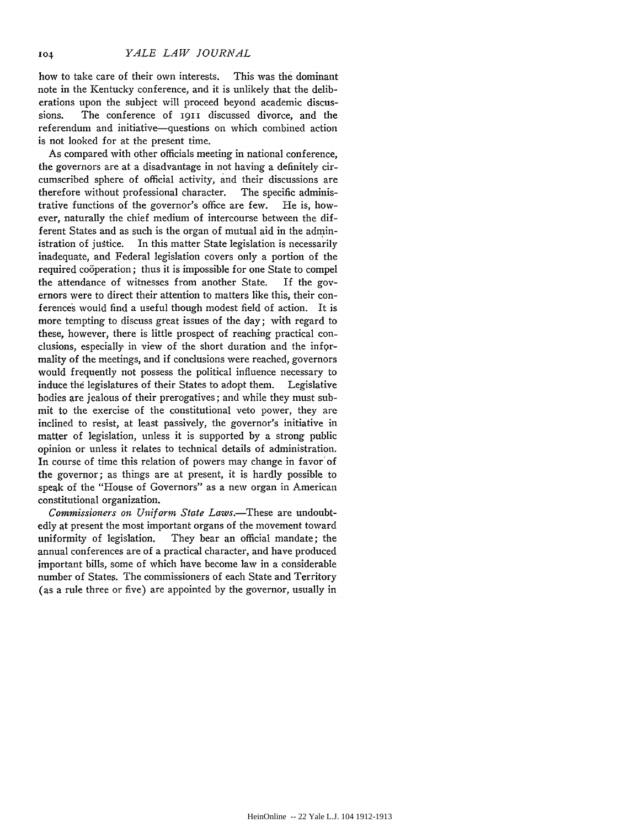how to take care of their own interests. This was the dominant note in the Kentucky conference, and it is unlikely that the deliberations upon the subject will proceed beyond academic discussions. The conference of **1911** discussed divorce, and the referendum and initiative-questions on which combined action is not looked for at the present time.

As compared with other officials meeting in national conference, the governors are at a disadvantage in not having a definitely circumscribed sphere of official activity, and their discussions are therefore without professional character. The specific administrative functions of the governor's office are few. He is, however, naturally the chief medium of intercourse between the different States and as such is the organ of mutual aid in the administration of justice. In this matter State legislation is necessarily inadequate, and Federal legislation covers only a portion of the required coöperation; thus it is impossible for one State to compel the attendance of witnesses from another State. If the governors were to direct their attention to matters like this, their conferences would find a useful though modest field of action. It is more tempting to discuss great issues of the day; with regard to these, however, there is little prospect of reaching practical conclusions, especially in view of the short duration and the informality of the meetings, and if conclusions were reached, governors would frequently not possess the political influence necessary to induce the legislatures of their States to adopt them. Legislative bodies are jealous of their prerogatives; and while they must submit to the exercise of the constitutional veto power, they are inclined to resist, at least passively, the governor's initiative in matter of legislation, unless it is supported by a strong public opinion or unless it relates to technical details of administration. In course of time this relation of powers may change in favor of the governor; as things are at present, it is hardly possible to speak of the "House of Governors" as a new organ in American constitutional organization,

*Commissioners on Uniform State Laws.-These* are undoubtedly at present the most important organs of the movement toward uniformity of legislation, They bear an official mandate; the annual conferences are of a practical character, and have produced important bills, some of which have become law in a considerable number of States. The commissioners of each State and Territory (as a rule three or five) are appointed by the governor, usually in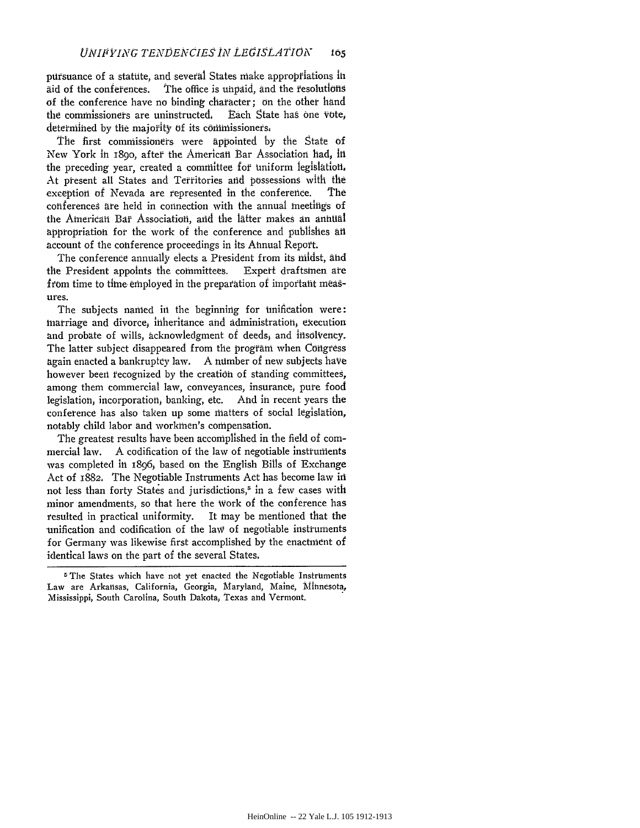pursuance of a statute, and several States make appropriations in aid of the conferences. The office is unpaid, and the resolutions of the conference have no binding character; on the other hand the commissioners are uninstructed. Each State has one vote, determined by the majority of its commissioners.

The first commissioners were appointed **by** the State of New York in 189o, after the American Bar Association had, **II** the preceding year, created a committee for uniform legislation. At present all States and Territories and possessions with the exception of Nevada are represented in the conference. The conferences are held in connection with the annual ineetings of the Atnerican Bar Association, and the latter makes an annual appropriation for the work of the conference and publishes an account of the conference proceedings in its Annual Report.

The conference annually elects a President from its midst, and the President appoints the committees. Expert draftsmen ate from time to time employed in the preparation of important measures.

The subjects named in the beginning for unification were: marriage and divorce, inheritance and administration, execution and probate of wills, acknowledgment of deeds, and insolvency. The latter subject disappeared from the program when Congress again enacted a bankruptcy law, **A** number of new subjects have however been recognized by the creation of standing committees, among them commercial law, conveyances, insurance, pure food legislation, incorporation, banking, etc. And in recent years the conference has also taken up some matters of social legislation, notably child labor and worktnen's compensation.

The greatest results have been accomplished in the field of commercial law. A codification of the law of negotiable instruments was completed in 1896, based on the English Bills of Exchange Act of 1882. The Negotiable Instruments Act has become law in not less than forty States and jurisdictions? in a few cases with minor amendments, so that here the work of the conference has resulted in practical uniformity. It may be mentioned that the unification and codification of the law of negotiable instruments for Germany was likewise first accomplished by the enactment of identical laws on the part of the several States,

<sup>5</sup> **The** States which have not yet enacted the Negotiable Instruments Law are Arkansas, California, Georgia, Maryland, Maine, Minnesota, Mississippi, South Carolina, South Dakota, Texas and Vermont.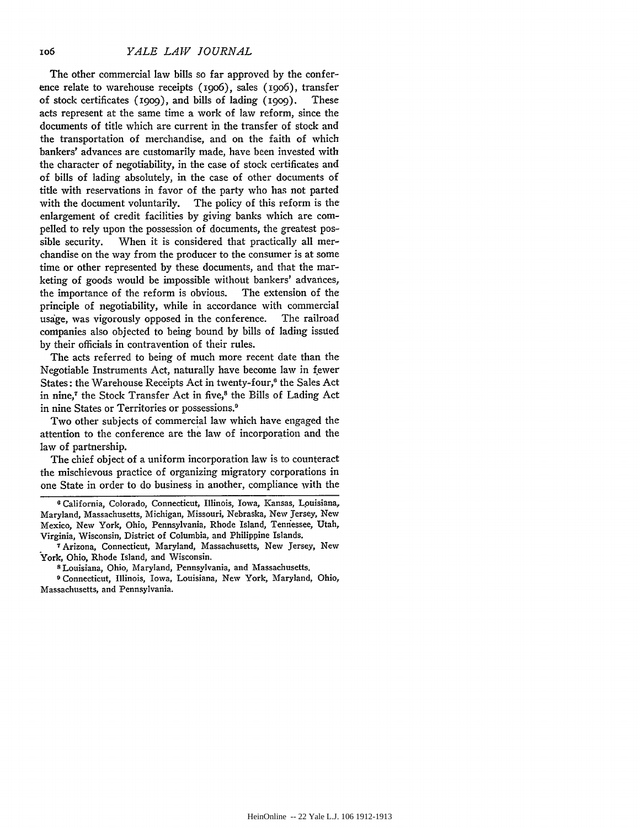The other commercial law bills so far approved by the conference relate to warehouse receipts (1906), sales (1906), transfer of stock certificates (i9o9), and bills of lading (i9o9). These acts represent at the same time a work of law reform, since the documents of title which are current **in** the transfer of stock and the transportation of merchandise, and on the faith of which bankers' advances are customarily made, have been invested with the character of negotiability, in the case of stock certificates and of bills of lading absolutely, in the case of other documents of title with reservations in favor of the party who has not parted with the document voluntarily. The policy of this reform is the enlargement of credit facilities by giving banks which are compelled to rely upon the possession of documents, the greatest possible security. When it is considered that practically all merchandise on the way from the producer to the consumer is at some time or other represented by these documents, and that the marketing of goods would be impossible without bankers' advances, the importance of the reform is obvious. The extension of the principle of negotiability, while in accordance with commercial usage, was vigorously opposed in the conference. The railroad companies also objected to being bound by bills of lading issued by their officials in contravention of their rules.

The acts referred to being of much more recent date than the Negotiable Instruments Act, naturally have become law in fewer States: the Warehouse Receipts Act in twenty-four,<sup>6</sup> the Sales Act in nine,<sup>7</sup> the Stock Transfer Act in five,<sup>8</sup> the Bills of Lading Act in nine States or Territories or possessions.<sup>9</sup>

Two other subjects of commercial law which have engaged the attention to the conference are the law of incorporation and the law of partnership.

The chief object of a uniform incorporation law is to counteract the mischievous practice of organizing migratory corporations in one State in order to do business in another, compliance with the

7Arizona, Connecticut, Maryland, Massachusetts, New Jersey, New York, Ohio, Rhode Island, and Wisconsin.

**8** Louisiana, Ohio, Maryland, Pennsylvania, and Massachusetts.

**9** Connecticut, Illinois, Iowa, Louisiana, New York, Maryland, Ohio, Massachusetts, and Pennsylvania.

<sup>&</sup>lt;sup>6</sup> California, Colorado, Connecticut, Illinois, Iowa, Kansas, Louisiana, Maryland, Massachusetts, Michigan, Missouri, Nebraska, New Jersey, New Mexico, New York, Ohio, Pennsylvania, Rhode Island, Tenriessee, Utah, Virginia, Wisconsin, District of Columbia, and Philippine Islands.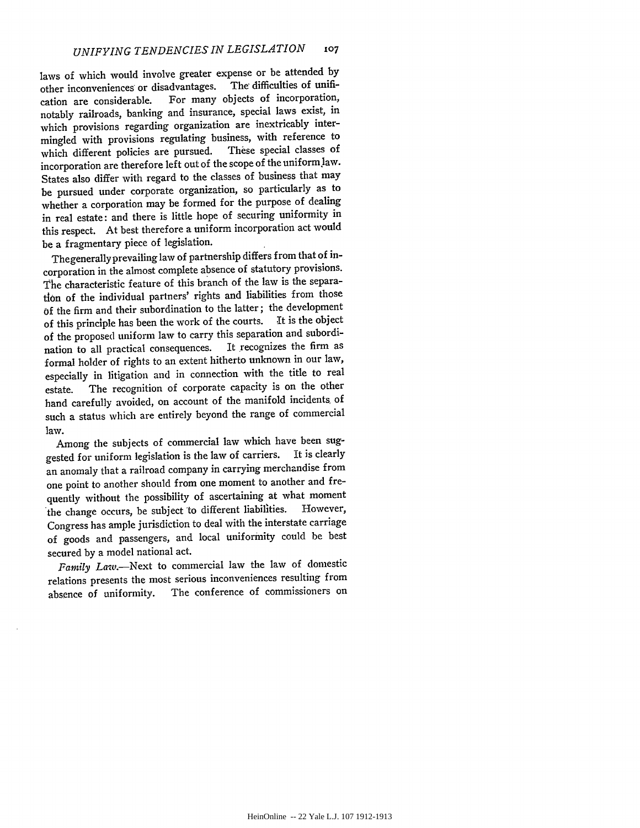laws of which would involve greater expense or be attended by other inconveniences or disadvantages. The difficulties of unification are considerable. For many objects of incorporation, For many objects of incorporation, notably railroads, banking and insurance, special laws exist, in which provisions regarding organization are inextricably intermingled with provisions regulating business, with reference to<br>which different policies are pursued. These special classes of which different policies are pursued. incorporation are therefore left out of the scope of the uniformlaw. States also differ with regard to the classes of business that may be pursued under corporate organization, so particularly as to whether a corporation may be formed for the purpose of dealing in real estate: and there is little hope of securing uniformity in this respect. At best therefore a uniform incorporation act would be a fragmentary piece of legislation.

Thegenerally prevailing law of partnership differs from that of incorporation in the almost complete absence of statutory provisions. The characteristic feature of this branch of the law is the separation of the individual partners' rights and liabilities from those of the firm and their subordination to the latter; the development<br>of this principle has been the work of the courts. It is the object of this principle has been the work of the courts. of the proposed uniform law to carry this separation and subordination to all practical consequences. formal holder of rights to an extent hitherto unknown in our law, especially in litigation and in connection with the title to real estate. The recognition of corporate capacity is on the other hand carefully avoided, on account of the manifold incidents, of such a status which are entirely beyond the range of commercial law.

Among the subjects of commercial law which have been suggested for uniform legislation is the law of carriers. It is clearly an anomaly that a railroad company in carrying merchandise from one point to another should from one moment to another and frequently without the possibility of ascertaining at what moment<br>the change occurs, he subject to different liabilities. However, the change occurs, be subject to different liabilities. Congress has ample jurisdiction to deal with the interstate carriage of goods and passengers, and local uniformity could be best secured by a model national act.

Family Law.-Next to commercial law the law of domestic relations presents the most serious inconveniences resulting from The conference of commissioners on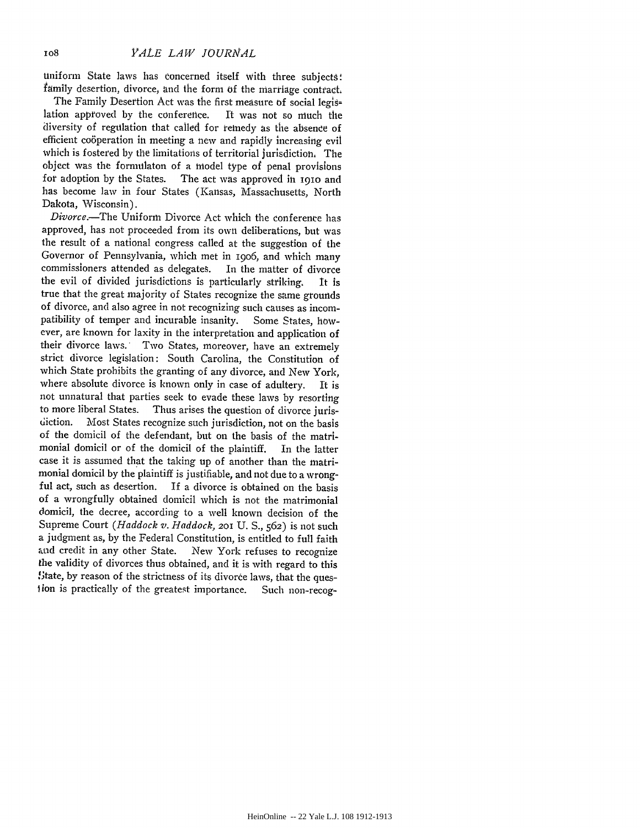uniform State laws has concerned itself with three subjects: family desertion, divorce, and the form of the marriage contract,

The Family Desertion Act was the first measure of social legis= lation approved by the conference. It was not so niuch the diversity of regulation that called for remedy as the absence of efficient coöperation in meeting a new and rapidly increasing evil which is fostered by the limitations of territorial jurisdiction. The object was the formulaton of a model type of penal provisions for adoption by the States. The act was approved in 1910 and has become law in four States (Kansas, Massachusetts, North Dakota, Wisconsin).

*Divorce.-The* Uniform Divorce Act which the conference has approved, has not proceeded from its own deliberations, but was the result of a national congress called at the suggestion of the Governor of Pennsylvania, which met in 19o6, and which many commissioners attended as delegates. In the matter of divorce the evil of divided jurisdictions is particularly striking, It is true that the great majority of States recognize the same grounds of divorce, and also agree in not recognizing such causes as incompatibility of temper and incurable insanity. Some States, however, are known for laxity in the interpretation and application of their divorce laws.' Two States, moreover, have an extremely strict divorce legislation: South Carolina, the Constitution of which State prohibits the granting of any divorce, and New York, where absolute divorce is known only in case of adultery. It is not unnatural that parties seek to evade these laws by resorting to more liberal States. Thus arises the question of divorce jurisdiction. Most States recognize such jurisdiction, not on the basis of the domicil of the defendant, but on the basis of the matrimonial domicil or of the domicil of the plaintiff. In the latter case it is assumed that the taking up of another than the matrimonial domicil by the plaintiff is justifiable, and not due to a wrongful act, such as desertion. If a divorce is obtained on the basis of a wrongfully obtained domicil which is not the matrimonial domicil, the decree, according to a well known decision of the Supreme Court *(Haddock v. Haddock,* 2oi U. **S.,** 562) is not such a judgment as, by the Federal Constitution, is entitled to full faith and credit in any other State. New York refuses to recognize the validity of divorces thus obtained, and it is with regard to this State, by reason of the strictness of its divorce laws, that the queslion is practically of the greatest importance. Such non-recog-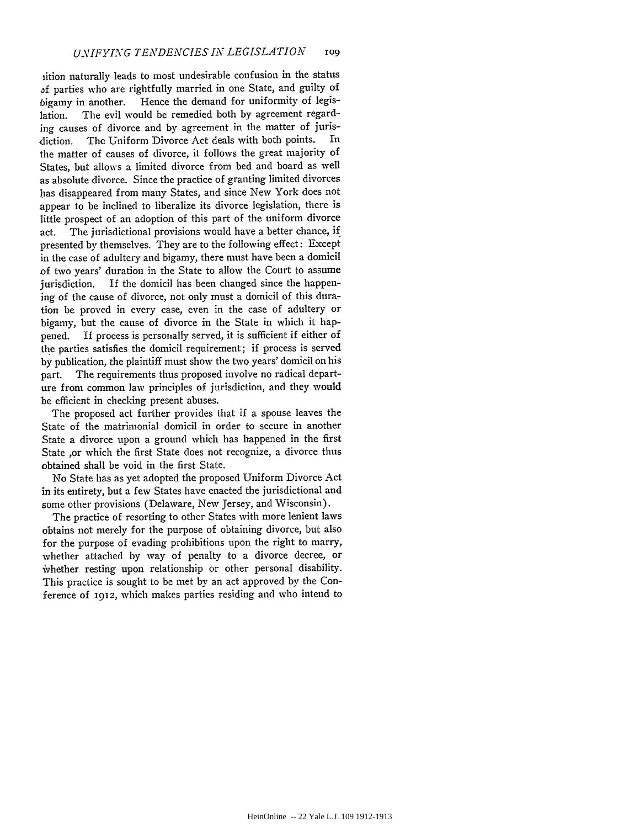iition naturally leads to most undesirable confusion in the status of parties who are rightfully married in one State, and guilty of bigamy in another. Hence the demand for uniformity of legislation. The evil would be remedied both by agreement regarding causes of divorce and by agreement in the matter of juris-<br>diction The Liniform Divorce Act deals with both points. In diction. The Uniform Divorce Act deals with both points. the matter of causes of divorce, it follows the great majority of States, but allows a limited divorce from bed and board as well as absolute divorce. Since the practice of granting limited divorces has disappeared from many States, and since New York does not appear to be inclined to liberalize its divorce legislation, there is little prospect of an adoption of this part of the uniform divorce act. The jurisdictional provisions would have a better chance, if presented by themselves. They are to the following effect: Except in the case of adultery and bigamy, there must have been a domicil of two years' duration in the State to allow the Court to assume<br>jurisdiction. If the domicil has been changed since the happen-If the domicil has been changed since the happening of the cause of divorce, not only must a domicil of this duration be proved in every case, even in the case of adultery or bigamy, but the cause of divorce in the State in which it happened. If process is personally served, it is sufficient if either of the parties satisfies the domicil requirement; if process is served by publication, the plaintiff must show the two years' domicil on his part. The requirements thus proposed involve no radical departure from common law principles of jurisdiction, and they would be efficient in checking present abuses.

The proposed act further provides that if a spouse leaves the State of the matrimonial domicil in order to secure in another State a divorce upon a ground which has happened in the first State *,or* which the first State does not recognize, a divorce thus obtained shall be void in the first State.

No State has as yet adopted the proposed Uniform Divorce Act in its entirety, but a few States have enacted the jurisdictional and some other provisions (Delaware, New Jersey, and Wisconsin).

The practice of resorting to other States with more lenient laws obtains not merely for the purpose of obtaining divorce, but also for the purpose of evading prohibitions upon the right to marry, whether attached by way of penalty to a divorce decree, or vhether resting upon relationship or other personal disability. This practice is sought to be met by an act approved by the Conference of 1912, which makes parties residing and who intend to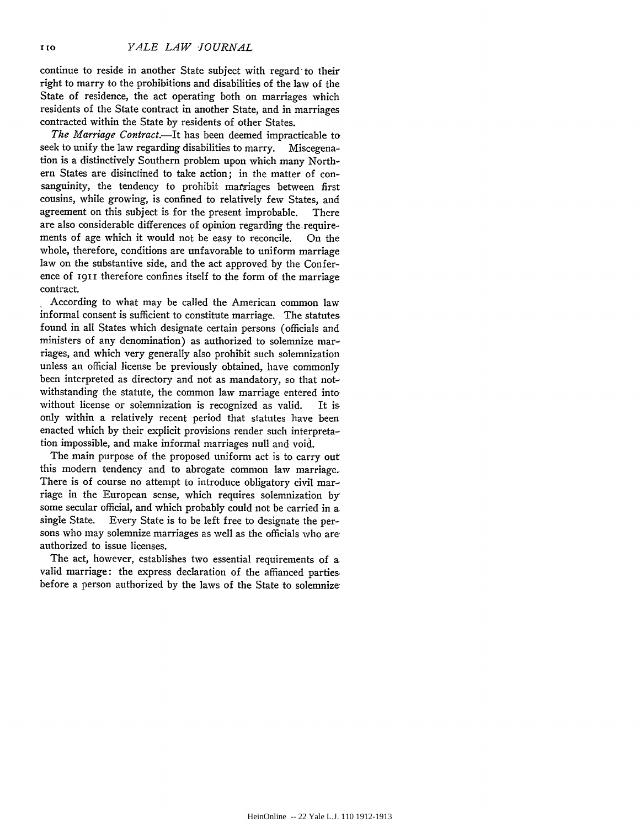continue to reside in another State subject with regard to their right to marry to the prohibitions and disabilities of the law of the State of residence, the act operating both on marriages which residents of the State contract in another State, and in marriages contracted within the State by residents of other States.

*The Marriage Contract.-It* has been deemed impracticable to seek to unify the law regarding disabilities to marry. Miscegenation is a distinctively Southern problem upon which many Northern States are disinclined to take action; in the matter of consanguinity, the tendency to prohibit marriages between first cousins, while growing, is confined to relatively few States, and agreement on this subject is for the present improbable. There are also considerable differences of opinion regarding the requirements of age which it would not be easy to reconcile. On the whole, therefore, conditions are unfavorable to uniform marriage law on the substantive side, and the act approved by the Conference of 1911 therefore confines itself to the form of the marriage contract.

According to what may be called the American common law informal consent is sufficient to constitute marriage. The statutesfound in all States which designate certain persons (officials and ministers of any denomination) as authorized to solemnize marriages, and which very generally also prohibit such solemnization unless an official license be previously obtained, have commonly been interpreted as directory and not as mandatory, so that notwithstanding the statute, the common law marriage entered into without license or solemnization is recognized as valid. It is only within a relatively recent period that statutes have been enacted which by their explicit provisions render such interpretation impossible, and make informal marriages null and void.

The main purpose of the proposed uniform act is to carry out this modern tendency and to abrogate common law marriage. There is of course no attempt to introduce obligatory civil marriage in the European sense, which requires solemnization by some secular official, and which probably could not be carried in a single State. Every State is to be left free to designate the persons who may solemnize marriages as well as the officials who are authorized to issue licenses.

The act, however, establishes two essential requirements of a valid marriage: the express declaration of the affianced parties before a person authorized by the laws of the State to solemnize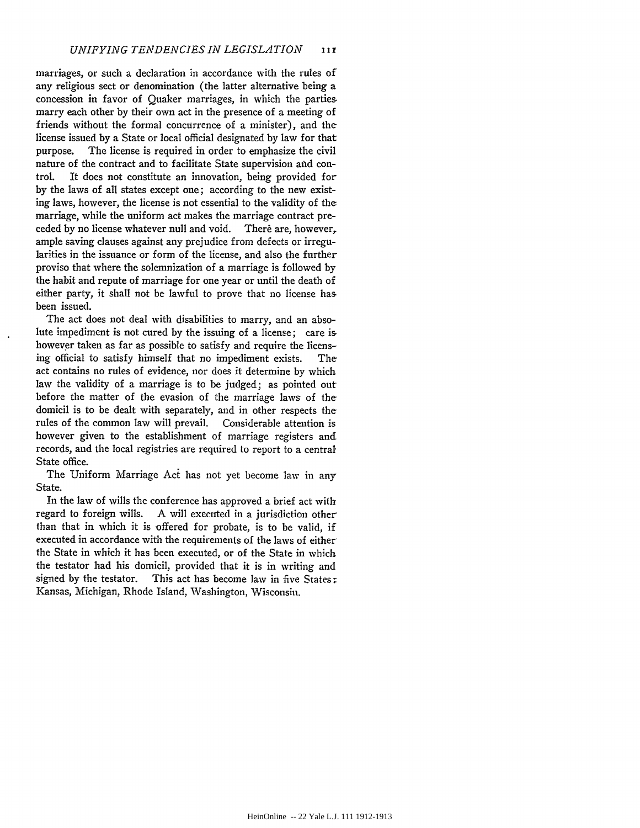marriages, or such a declaration in accordance with the rules of any religious sect or denomination (the latter alternative being a concession in favor of Quaker marriages, in which the parties marry each other by their own act in the presence of a meeting of friends without the formal concurrence of a minister), and the license issued by a State or local official designated by law for that purpose. The license is required in order to emphasize the civil nature of the contract and to facilitate State supervision aid control. It does not constitute an innovation, being provided for by the laws of all states except one; according to the new existing laws, however, the license is not essential to the validity of the marriage, while the uniform act makes the marriage contract preceded by no license whatever null and void. There are, however, ample saving clauses against any prejudice from defects or irregularities in the issuance or form of the license, and also the further proviso that where the solemnization of a marriage is followed by the habit and repute of marriage for one year or until the death of either party, it shall not be lawful to prove that no license has been issued.

The act does not deal with disabilities to marry, and an absolute impediment is not cured by the issuing of a license; care *is,* however taken as far as possible to satisfy and require the licensing official to satisfy himself that no impediment exists. The act contains no rules of evidence, nor does it determine by which law the validity of a marriage is to be judged; as pointed out before the matter of the evasion of the marriage laws of the domicil is to be dealt with separately, and in other respects the rules of the common law will prevail. Considerable attention is however given to the establishment of marriage registers and records, and the local registries are required to report to a central State office.

The Uniform Marriage Act has not yet become law in any State.

In the law of wills the conference has approved a brief act with regard to foreign wills. A will executed in a jurisdiction other than that in which it is offered for probate, is to be valid, if executed in accordance with the requirements of the laws of either the State in which it has been executed, or of the State in which the testator had his domicil, provided that it is in writing and signed by the testator. This act has become law in five States: Kansas, Michigan, Rhode Island, Washington, Wisconsin.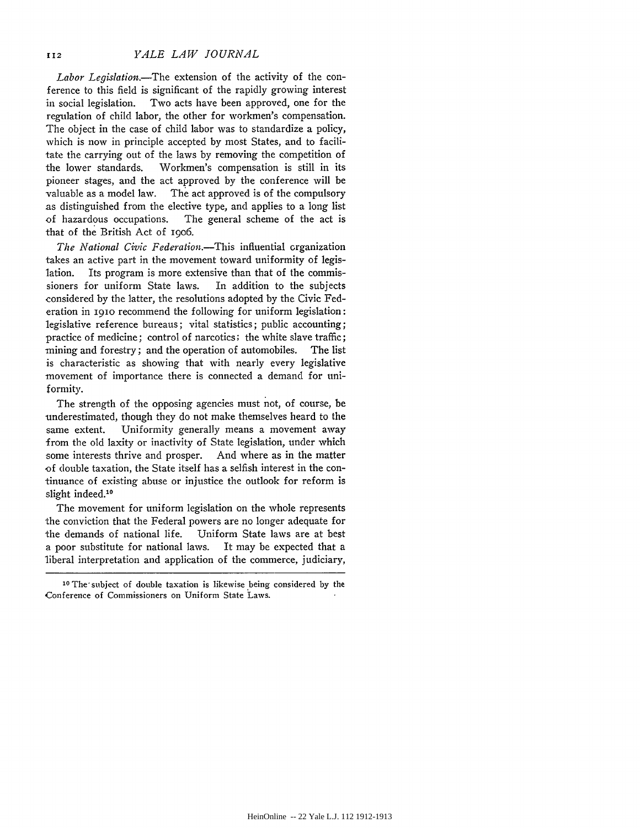*Labor Legislation.-The* extension of the activity of the conference to this field is significant of the rapidly growing interest in social legislation. Two acts have been approved, one for the regulation of child labor, the other for workmen's compensation. The object in the case of child labor was to standardize a policy, which is now in principle accepted by most States, and to facilitate the carrying out of the laws by removing the competition of the lower standards. Workmen's compensation is still in its Workmen's compensation is still in its pioneer stages, and the act approved by the conference will be valuable as a model law. The act approved is of the compulsory as distinguished from the elective type, and applies to a long list of hazardous occupations. The general scheme of the act is that of the British Act of 19o6.

*The National Civic Federation.-This* influential organization takes an active part in the movement toward uniformity of legislation. Its program is more extensive than that of the commissioners for uniform State laws. In addition to the subjects considered by the latter, the resolutions adopted by the Civic Federation in **19IO** recommend the following for uniform legislation: legislative reference bureaus; vital statistics; public accounting; practice of medicine; control of narcotics; the white slave traffic; mining and forestry; and the operation of automobiles. The list is characteristic as showing that with nearly every legislative movement of importance there is connected a demand for uniformity.

The strength of the opposing agencies must not, of course, be -underestimated, though they do not make themselves heard to the same extent. Uniformity generally means a movement away from the old laxity or inactivity of State legislation, under which some interests thrive and prosper. And where as in the matter of double taxation, the State itself has a selfish interest in the continuance of existing abuse or injustice the outlook for reform is slight indeed.<sup>10</sup>

The movement for uniform legislation on the whole represents the conviction that the Federal powers are no longer adequate for the demands of national life. Uniform State laws are at best a poor substitute for national laws. It may be expected that a liberal interpretation and application of the commerce, judiciary,

<sup>&</sup>lt;sup>10</sup> The subject of double taxation is likewise being considered by the Conference of Commissioners on Uniform State Laws.